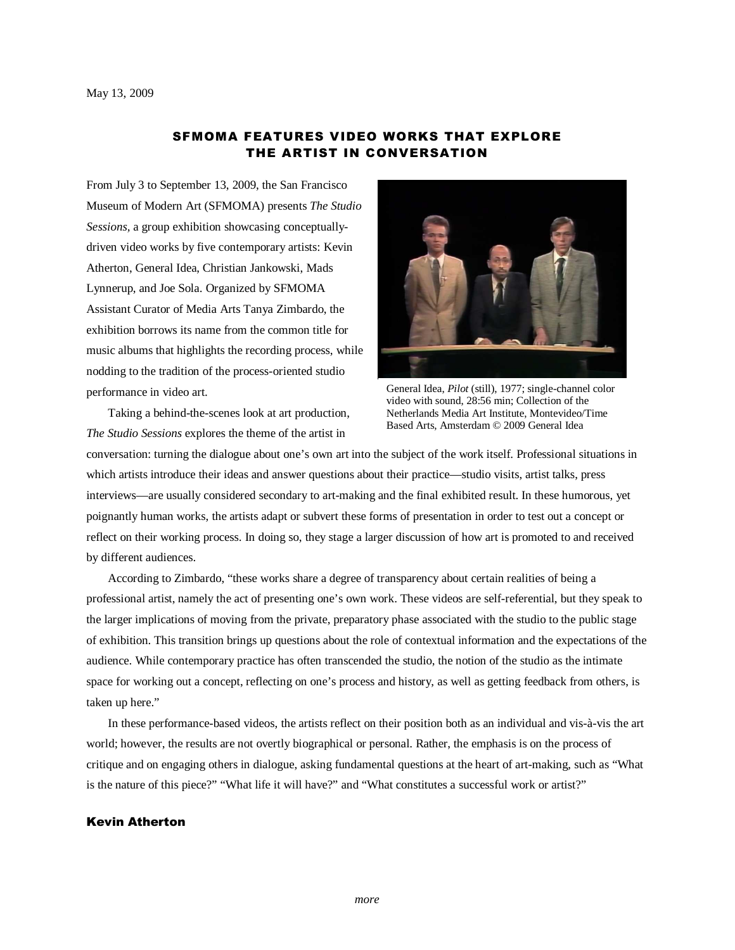# SFMOMA FEATURES VIDEO WORKS THAT EXPLORE THE ARTIST IN CONVERSATION

From July 3 to September 13, 2009, the San Francisco Museum of Modern Art (SFMOMA) presents *The Studio Sessions,* a group exhibition showcasing conceptuallydriven video works by five contemporary artists: Kevin Atherton, General Idea, Christian Jankowski, Mads Lynnerup, and Joe Sola. Organized by SFMOMA Assistant Curator of Media Arts Tanya Zimbardo, the exhibition borrows its name from the common title for music albums that highlights the recording process, while nodding to the tradition of the process-oriented studio performance in video art.

Taking a behind-the-scenes look at art production, *The Studio Sessions* explores the theme of the artist in



General Idea, *Pilot* (still), 1977; single-channel color video with sound, 28:56 min; Collection of the Netherlands Media Art Institute, Montevideo/Time Based Arts, Amsterdam © 2009 General Idea

conversation: turning the dialogue about one's own art into the subject of the work itself. Professional situations in which artists introduce their ideas and answer questions about their practice—studio visits, artist talks, press interviews—are usually considered secondary to art-making and the final exhibited result. In these humorous, yet poignantly human works, the artists adapt or subvert these forms of presentation in order to test out a concept or reflect on their working process. In doing so, they stage a larger discussion of how art is promoted to and received by different audiences.

According to Zimbardo, "these works share a degree of transparency about certain realities of being a professional artist, namely the act of presenting one's own work. These videos are self-referential, but they speak to the larger implications of moving from the private, preparatory phase associated with the studio to the public stage of exhibition. This transition brings up questions about the role of contextual information and the expectations of the audience. While contemporary practice has often transcended the studio, the notion of the studio as the intimate space for working out a concept, reflecting on one's process and history, as well as getting feedback from others, is taken up here."

In these performance-based videos, the artists reflect on their position both as an individual and vis-à-vis the art world; however, the results are not overtly biographical or personal. Rather, the emphasis is on the process of critique and on engaging others in dialogue, asking fundamental questions at the heart of art-making, such as "What is the nature of this piece?" "What life it will have?" and "What constitutes a successful work or artist?"

## Kevin Atherton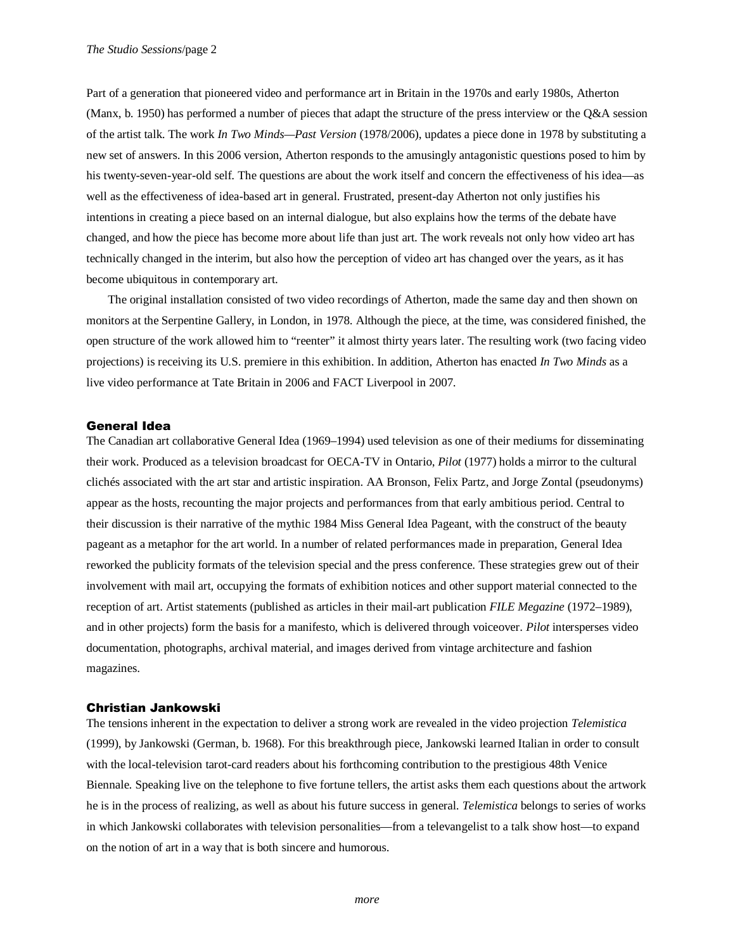Part of a generation that pioneered video and performance art in Britain in the 1970s and early 1980s, Atherton (Manx, b. 1950) has performed a number of pieces that adapt the structure of the press interview or the Q&A session of the artist talk. The work *In Two Minds—Past Version* (1978/2006), updates a piece done in 1978 by substituting a new set of answers. In this 2006 version, Atherton responds to the amusingly antagonistic questions posed to him by his twenty-seven-year-old self. The questions are about the work itself and concern the effectiveness of his idea—as well as the effectiveness of idea-based art in general. Frustrated, present-day Atherton not only justifies his intentions in creating a piece based on an internal dialogue, but also explains how the terms of the debate have changed, and how the piece has become more about life than just art. The work reveals not only how video art has technically changed in the interim, but also how the perception of video art has changed over the years, as it has become ubiquitous in contemporary art.

The original installation consisted of two video recordings of Atherton, made the same day and then shown on monitors at the Serpentine Gallery, in London, in 1978. Although the piece, at the time, was considered finished, the open structure of the work allowed him to "reenter" it almost thirty years later. The resulting work (two facing video projections) is receiving its U.S. premiere in this exhibition. In addition, Atherton has enacted *In Two Minds* as a live video performance at Tate Britain in 2006 and FACT Liverpool in 2007.

## General Idea

The Canadian art collaborative General Idea (1969–1994) used television as one of their mediums for disseminating their work. Produced as a television broadcast for OECA-TV in Ontario, *Pilot* (1977) holds a mirror to the cultural clichés associated with the art star and artistic inspiration. AA Bronson, Felix Partz, and Jorge Zontal (pseudonyms) appear as the hosts, recounting the major projects and performances from that early ambitious period. Central to their discussion is their narrative of the mythic 1984 Miss General Idea Pageant, with the construct of the beauty pageant as a metaphor for the art world. In a number of related performances made in preparation, General Idea reworked the publicity formats of the television special and the press conference. These strategies grew out of their involvement with mail art, occupying the formats of exhibition notices and other support material connected to the reception of art. Artist statements (published as articles in their mail-art publication *FILE Megazine* (1972–1989), and in other projects) form the basis for a manifesto, which is delivered through voiceover. *Pilot* intersperses video documentation, photographs, archival material, and images derived from vintage architecture and fashion magazines.

#### Christian Jankowski

The tensions inherent in the expectation to deliver a strong work are revealed in the video projection *Telemistica* (1999), by Jankowski (German, b. 1968). For this breakthrough piece, Jankowski learned Italian in order to consult with the local-television tarot-card readers about his forthcoming contribution to the prestigious 48th Venice Biennale. Speaking live on the telephone to five fortune tellers, the artist asks them each questions about the artwork he is in the process of realizing, as well as about his future success in general. *Telemistica* belongs to series of works in which Jankowski collaborates with television personalities—from a televangelist to a talk show host—to expand on the notion of art in a way that is both sincere and humorous.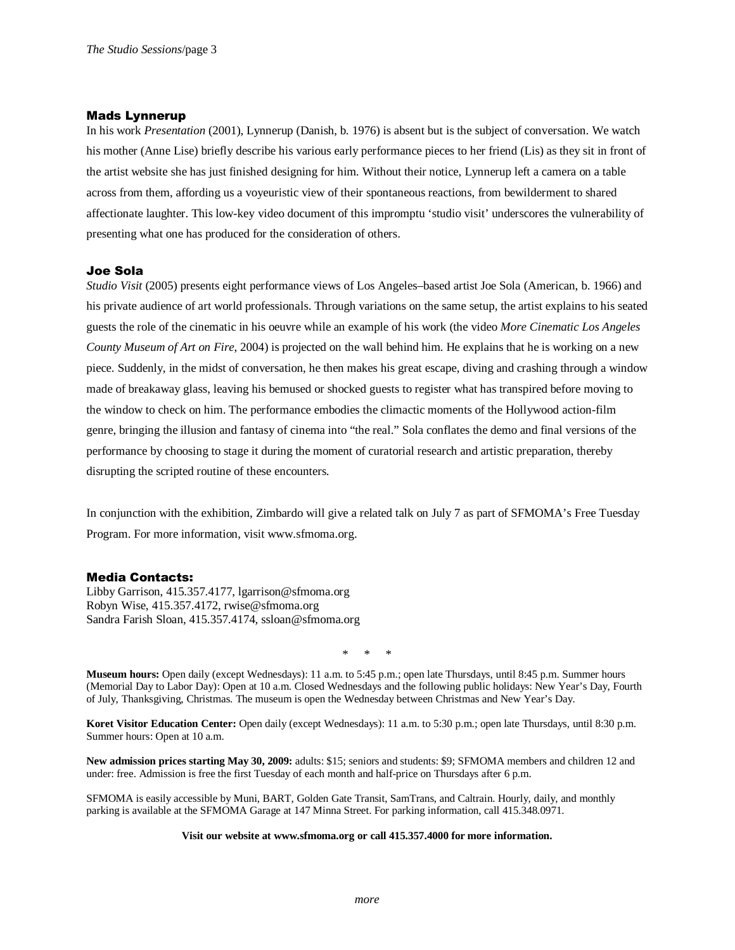# Mads Lynnerup

In his work *Presentation* (2001), Lynnerup (Danish, b. 1976) is absent but is the subject of conversation. We watch his mother (Anne Lise) briefly describe his various early performance pieces to her friend (Lis) as they sit in front of the artist website she has just finished designing for him. Without their notice, Lynnerup left a camera on a table across from them, affording us a voyeuristic view of their spontaneous reactions, from bewilderment to shared affectionate laughter. This low-key video document of this impromptu 'studio visit' underscores the vulnerability of presenting what one has produced for the consideration of others.

# Joe Sola

*Studio Visit* (2005) presents eight performance views of Los Angeles–based artist Joe Sola (American, b. 1966) and his private audience of art world professionals. Through variations on the same setup, the artist explains to his seated guests the role of the cinematic in his oeuvre while an example of his work (the video *More Cinematic Los Angeles County Museum of Art on Fire*, 2004) is projected on the wall behind him. He explains that he is working on a new piece. Suddenly, in the midst of conversation, he then makes his great escape, diving and crashing through a window made of breakaway glass, leaving his bemused or shocked guests to register what has transpired before moving to the window to check on him. The performance embodies the climactic moments of the Hollywood action-film genre, bringing the illusion and fantasy of cinema into "the real." Sola conflates the demo and final versions of the performance by choosing to stage it during the moment of curatorial research and artistic preparation, thereby disrupting the scripted routine of these encounters.

In conjunction with the exhibition, Zimbardo will give a related talk on July 7 as part of SFMOMA's Free Tuesday Program. For more information, visit www.sfmoma.org.

## Media Contacts:

Libby Garrison, 415.357.4177, lgarrison@sfmoma.org Robyn Wise, 415.357.4172, rwise@sfmoma.org Sandra Farish Sloan, 415.357.4174, ssloan@sfmoma.org

\* \* \*

**Museum hours:** Open daily (except Wednesdays): 11 a.m. to 5:45 p.m.; open late Thursdays, until 8:45 p.m. Summer hours (Memorial Day to Labor Day): Open at 10 a.m. Closed Wednesdays and the following public holidays: New Year's Day, Fourth of July, Thanksgiving, Christmas. The museum is open the Wednesday between Christmas and New Year's Day.

**Koret Visitor Education Center:** Open daily (except Wednesdays): 11 a.m. to 5:30 p.m.; open late Thursdays, until 8:30 p.m. Summer hours: Open at 10 a.m.

**New admission prices starting May 30, 2009:** adults: \$15; seniors and students: \$9; SFMOMA members and children 12 and under: free. Admission is free the first Tuesday of each month and half-price on Thursdays after 6 p.m.

SFMOMA is easily accessible by Muni, BART, Golden Gate Transit, SamTrans, and Caltrain. Hourly, daily, and monthly parking is available at the SFMOMA Garage at 147 Minna Street. For parking information, call 415.348.0971.

#### **Visit our website at www.sfmoma.org or call 415.357.4000 for more information.**